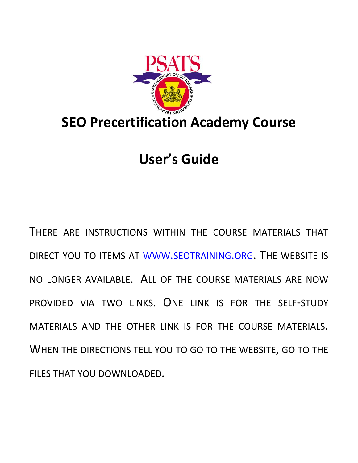

# **User's Guide**

THERE ARE INSTRUCTIONS WITHIN THE COURSE MATERIALS THAT DIRECT YOU TO ITEMS AT WWW.SEOTRAINING.ORG. THE WEBSITE IS NO LONGER AVAILABLE. ALL OF THE COURSE MATERIALS ARE NOW PROVIDED VIA TWO LINKS. ONE LINK IS FOR THE SELF-STUDY MATERIALS AND THE OTHER LINK IS FOR THE COURSE MATERIALS. WHEN THE DIRECTIONS TELL YOU TO GO TO THE WEBSITE, GO TO THE FILES THAT YOU DOWNLOADED.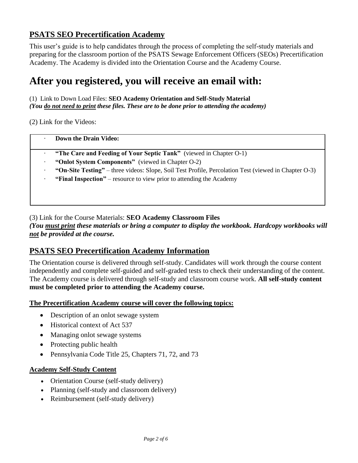# **PSATS SEO Precertification Academy**

This user's guide is to help candidates through the process of completing the self-study materials and preparing for the classroom portion of the PSATS Sewage Enforcement Officers (SEOs) Precertification Academy. The Academy is divided into the Orientation Course and the Academy Course.

# **After you registered, you will receive an email with:**

(1) Link to Down Load Files: **SEO Academy Orientation and Self-Study Material** *(You do not need to print these files. These are to be done prior to attending the academy)*

(2) Link for the Videos:

#### · **Down the Drain Video:**

- · **"The Care and Feeding of Your Septic Tank"** (viewed in Chapter O-1)
- · **"Onlot System Components"** (viewed in Chapter O-2)
- · **"On-Site Testing"** three videos: Slope, Soil Test Profile, Percolation Test (viewed in Chapter O-3)
- · **"Final Inspection"** resource to view prior to attending the Academy

(3) Link for the Course Materials: **SEO Academy Classroom Files**

*(You must print these materials or bring a computer to display the workbook. Hardcopy workbooks will not be provided at the course.*

## **PSATS SEO Precertification Academy Information**

The Orientation course is delivered through self-study. Candidates will work through the course content independently and complete self-guided and self-graded tests to check their understanding of the content. The Academy course is delivered through self-study and classroom course work. **All self-study content must be completed prior to attending the Academy course.**

**The Precertification Academy course will cover the following topics:** 

- Description of an onlot sewage system
- Historical context of Act 537
- Managing onlot sewage systems
- Protecting public health
- Pennsylvania Code Title 25, Chapters 71, 72, and 73

#### **Academy Self-Study Content**

- Orientation Course (self-study delivery)
- Planning (self-study and classroom delivery)
- Reimbursement (self-study delivery)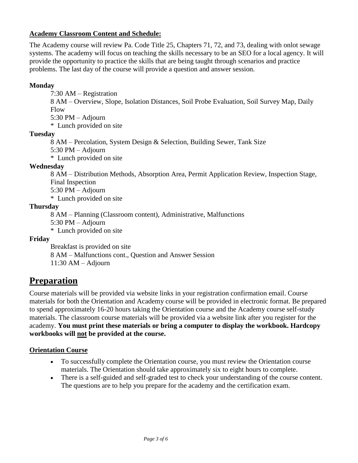#### **Academy Classroom Content and Schedule:**

The Academy course will review Pa. Code Title 25, Chapters 71, 72, and 73, dealing with onlot sewage systems. The academy will focus on teaching the skills necessary to be an SEO for a local agency. It will provide the opportunity to practice the skills that are being taught through scenarios and practice problems. The last day of the course will provide a question and answer session.

### **Monday**

7:30 AM – Registration

8 AM – Overview, Slope, Isolation Distances, Soil Probe Evaluation, Soil Survey Map, Daily Flow

5:30 PM – Adjourn

\* Lunch provided on site

#### **Tuesday**

8 AM – Percolation, System Design & Selection, Building Sewer, Tank Size

5:30 PM – Adjourn

\* Lunch provided on site

#### **Wednesday**

8 AM – Distribution Methods, Absorption Area, Permit Application Review, Inspection Stage, Final Inspection

5:30 PM – Adjourn

\* Lunch provided on site

#### **Thursday**

8 AM – Planning (Classroom content), Administrative, Malfunctions

5:30 PM – Adjourn

\* Lunch provided on site

#### **Friday**

Breakfast is provided on site 8 AM – Malfunctions cont., Question and Answer Session  $11:30$  AM – Adjourn

# **Preparation**

Course materials will be provided via website links in your registration confirmation email. Course materials for both the Orientation and Academy course will be provided in electronic format. Be prepared to spend approximately 16-20 hours taking the Orientation course and the Academy course self-study materials. The classroom course materials will be provided via a website link after you register for the academy. **You must print these materials or bring a computer to display the workbook. Hardcopy workbooks will not be provided at the course.**

#### **Orientation Course**

- To successfully complete the Orientation course, you must review the Orientation course materials. The Orientation should take approximately six to eight hours to complete.
- There is a self-guided and self-graded test to check your understanding of the course content. The questions are to help you prepare for the academy and the certification exam.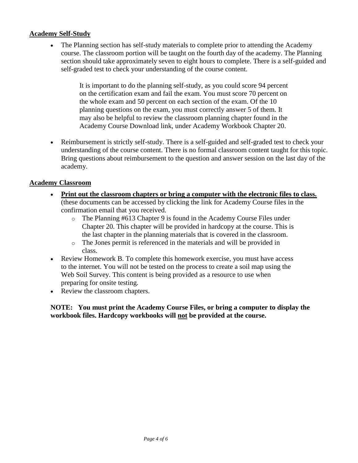#### **Academy Self-Study**

The Planning section has self-study materials to complete prior to attending the Academy course. The classroom portion will be taught on the fourth day of the academy. The Planning section should take approximately seven to eight hours to complete. There is a self-guided and self-graded test to check your understanding of the course content.

> It is important to do the planning self-study, as you could score 94 percent on the certification exam and fail the exam. You must score 70 percent on the whole exam and 50 percent on each section of the exam. Of the 10 planning questions on the exam, you must correctly answer 5 of them. It may also be helpful to review the classroom planning chapter found in the Academy Course Download link, under Academy Workbook Chapter 20.

• Reimbursement is strictly self-study. There is a self-guided and self-graded test to check your understanding of the course content. There is no formal classroom content taught for this topic. Bring questions about reimbursement to the question and answer session on the last day of the academy.

#### **Academy Classroom**

- **Print out the classroom chapters or bring a computer with the electronic files to class.** (these documents can be accessed by clicking the link for Academy Course files in the confirmation email that you received.
	- o The Planning #613 Chapter 9 is found in the Academy Course Files under Chapter 20. This chapter will be provided in hardcopy at the course. This is the last chapter in the planning materials that is covered in the classroom.
	- o The Jones permit is referenced in the materials and will be provided in class.
- Review Homework B. To complete this homework exercise, you must have access to the internet. You will not be tested on the process to create a soil map using the Web Soil Survey. This content is being provided as a resource to use when preparing for onsite testing.
- Review the classroom chapters.

**NOTE: You must print the Academy Course Files, or bring a computer to display the workbook files. Hardcopy workbooks will not be provided at the course.**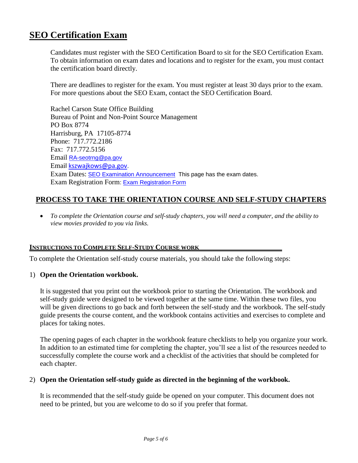# **SEO Certification Exam**

Candidates must register with the SEO Certification Board to sit for the SEO Certification Exam. To obtain information on exam dates and locations and to register for the exam, you must contact the certification board directly.

There are deadlines to register for the exam. You must register at least 30 days prior to the exam. For more questions about the SEO Exam, contact the SEO Certification Board.

Rachel Carson State Office Building Bureau of Point and Non-Point Source Management PO Box 8774 Harrisburg, PA 17105-8774 Phone: 717.772.2186 Fax: 717.772.5156 Email [RA-seotrng@pa.gov](mailto:jvollero@pa.gov) Email [kszwajkows@pa.gov.](mailto:kszwajkows@pa.gov) Exam Dates: [SEO Examination Announcement](http://www.dep.pa.gov/PublicParticipation/AdvisoryCommittees/WaterAdvisory/SEO/Pages/default.aspx) This page has the exam dates. Exam Registration Form: [Exam Registration Form](http://www.elibrary.dep.state.pa.us/dsweb/View/Collection-13006)

## **PROCESS TO TAKE THE ORIENTATION COURSE AND SELF-STUDY CHAPTERS**

• *To complete the Orientation course and self-study chapters, you will need a computer, and the ability to view movies provided to you via links.*

#### **INSTRUCTIONS TO COMPLETE SELF-STUDY COURSE WORK**

To complete the Orientation self-study course materials, you should take the following steps:

#### 1) **Open the Orientation workbook.**

It is suggested that you print out the workbook prior to starting the Orientation. The workbook and self-study guide were designed to be viewed together at the same time. Within these two files, you will be given directions to go back and forth between the self-study and the workbook. The self-study guide presents the course content, and the workbook contains activities and exercises to complete and places for taking notes.

The opening pages of each chapter in the workbook feature checklists to help you organize your work. In addition to an estimated time for completing the chapter, you'll see a list of the resources needed to successfully complete the course work and a checklist of the activities that should be completed for each chapter.

#### 2) **Open the Orientation self-study guide as directed in the beginning of the workbook.**

It is recommended that the self-study guide be opened on your computer. This document does not need to be printed, but you are welcome to do so if you prefer that format.